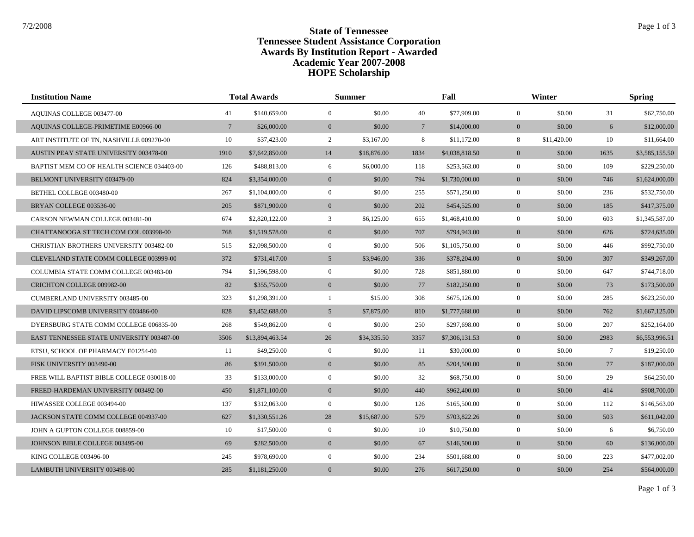## **State of Tennessee** State of Tennessee **Tennessee Student Assistance Corporation Awards By Institution Report - Awarded HOPE Scholarship Academic Year 2007-2008**

| <b>Institution Name</b>                          | <b>Total Awards</b> |                 |                | <b>Summer</b> |                 | Fall           |                | Winter      |                 | <b>Spring</b>  |  |
|--------------------------------------------------|---------------------|-----------------|----------------|---------------|-----------------|----------------|----------------|-------------|-----------------|----------------|--|
| AQUINAS COLLEGE 003477-00                        | 41                  | \$140,659.00    | $\mathbf{0}$   | \$0.00        | 40              | \$77,909.00    | $\overline{0}$ | \$0.00      | 31              | \$62,750.00    |  |
| AQUINAS COLLEGE-PRIMETIME E00966-00              | $7\overline{ }$     | \$26,000.00     | $\overline{0}$ | \$0.00        | $7\phantom{.0}$ | \$14,000.00    | $\overline{0}$ | \$0.00      | 6               | \$12,000.00    |  |
| ART INSTITUTE OF TN. NASHVILLE 009270-00         | 10                  | \$37,423.00     | 2              | \$3,167.00    | 8               | \$11,172.00    | 8              | \$11,420.00 | 10              | \$11,664.00    |  |
| AUSTIN PEAY STATE UNIVERSITY 003478-00           | 1910                | \$7,642,850.00  | 14             | \$18,876.00   | 1834            | \$4,038,818.50 | $\overline{0}$ | \$0.00      | 1635            | \$3,585,155.50 |  |
| BAPTIST MEM CO OF HEALTH SCIENCE 034403-00       | 126                 | \$488,813.00    | 6              | \$6,000.00    | 118             | \$253,563.00   | $\overline{0}$ | \$0.00      | 109             | \$229,250.00   |  |
| BELMONT UNIVERSITY 003479-00                     | 824                 | \$3,354,000.00  | $\mathbf{0}$   | \$0.00        | 794             | \$1,730,000.00 | $\overline{0}$ | \$0.00      | 746             | \$1,624,000.00 |  |
| BETHEL COLLEGE 003480-00                         | 267                 | \$1,104,000.00  | $\mathbf{0}$   | \$0.00        | 255             | \$571,250.00   | $\mathbf{0}$   | \$0.00      | 236             | \$532,750.00   |  |
| BRYAN COLLEGE 003536-00                          | 205                 | \$871,900.00    | $\mathbf{0}$   | \$0.00        | 202             | \$454,525.00   | $\overline{0}$ | \$0.00      | 185             | \$417,375.00   |  |
| CARSON NEWMAN COLLEGE 003481-00                  | 674                 | \$2,820,122.00  | 3              | \$6,125.00    | 655             | \$1,468,410.00 | $\overline{0}$ | \$0.00      | 603             | \$1,345,587.00 |  |
| CHATTANOOGA ST TECH COM COL 003998-00            | 768                 | \$1,519,578.00  | $\overline{0}$ | \$0.00        | 707             | \$794,943.00   | $\overline{0}$ | \$0.00      | 626             | \$724,635.00   |  |
| CHRISTIAN BROTHERS UNIVERSITY 003482-00          | 515                 | \$2,098,500.00  | $\mathbf{0}$   | \$0.00        | 506             | \$1,105,750.00 | $\overline{0}$ | \$0.00      | 446             | \$992,750.00   |  |
| CLEVELAND STATE COMM COLLEGE 003999-00           | 372                 | \$731,417.00    | 5              | \$3,946.00    | 336             | \$378,204.00   | $\overline{0}$ | \$0.00      | 307             | \$349,267.00   |  |
| COLUMBIA STATE COMM COLLEGE 003483-00            | 794                 | \$1,596,598.00  | $\mathbf{0}$   | \$0.00        | 728             | \$851,880.00   | $\overline{0}$ | \$0.00      | 647             | \$744,718.00   |  |
| CRICHTON COLLEGE 009982-00                       | 82                  | \$355,750.00    | $\mathbf{0}$   | \$0.00        | 77              | \$182,250.00   | $\overline{0}$ | \$0.00      | 73              | \$173,500.00   |  |
| CUMBERLAND UNIVERSITY 003485-00                  | 323                 | \$1,298,391.00  | -1             | \$15.00       | 308             | \$675,126.00   | $\overline{0}$ | \$0.00      | 285             | \$623,250.00   |  |
| DAVID LIPSCOMB UNIVERSITY 003486-00              | 828                 | \$3,452,688.00  | 5              | \$7,875.00    | 810             | \$1,777,688.00 | $\overline{0}$ | \$0.00      | 762             | \$1,667,125.00 |  |
| DYERSBURG STATE COMM COLLEGE 006835-00           | 268                 | \$549,862.00    | $\overline{0}$ | \$0.00        | 250             | \$297,698.00   | $\overline{0}$ | \$0.00      | 207             | \$252,164.00   |  |
| <b>EAST TENNESSEE STATE UNIVERSITY 003487-00</b> | 3506                | \$13,894,463.54 | 26             | \$34,335.50   | 3357            | \$7,306,131.53 | $\overline{0}$ | \$0.00      | 2983            | \$6,553,996.51 |  |
| ETSU, SCHOOL OF PHARMACY E01254-00               | 11                  | \$49,250.00     | $\mathbf{0}$   | \$0.00        | 11              | \$30,000.00    | $\overline{0}$ | \$0.00      | $7\phantom{.0}$ | \$19,250.00    |  |
| FISK UNIVERSITY 003490-00                        | 86                  | \$391,500.00    | $\mathbf{0}$   | \$0.00        | 85              | \$204,500.00   | $\overline{0}$ | \$0.00      | 77              | \$187,000.00   |  |
| FREE WILL BAPTIST BIBLE COLLEGE 030018-00        | 33                  | \$133,000.00    | $\mathbf{0}$   | \$0.00        | 32              | \$68,750.00    | $\overline{0}$ | \$0.00      | 29              | \$64,250.00    |  |
| FREED-HARDEMAN UNIVERSITY 003492-00              | 450                 | \$1,871,100.00  | $\mathbf{0}$   | \$0.00        | 440             | \$962,400.00   | $\overline{0}$ | \$0.00      | 414             | \$908,700.00   |  |
| HIWASSEE COLLEGE 003494-00                       | 137                 | \$312,063.00    | $\mathbf{0}$   | \$0.00        | 126             | \$165,500.00   | $\overline{0}$ | \$0.00      | 112             | \$146,563.00   |  |
| JACKSON STATE COMM COLLEGE 004937-00             | 627                 | \$1,330,551.26  | 28             | \$15,687.00   | 579             | \$703,822.26   | $\overline{0}$ | \$0.00      | 503             | \$611,042.00   |  |
| JOHN A GUPTON COLLEGE 008859-00                  | 10                  | \$17,500.00     | $\mathbf{0}$   | \$0.00        | 10              | \$10,750.00    | $\overline{0}$ | \$0.00      | 6               | \$6,750.00     |  |
| JOHNSON BIBLE COLLEGE 003495-00                  | 69                  | \$282,500.00    | $\mathbf{0}$   | \$0.00        | 67              | \$146,500.00   | $\overline{0}$ | \$0.00      | 60              | \$136,000.00   |  |
| KING COLLEGE 003496-00                           | 245                 | \$978,690.00    | $\mathbf{0}$   | \$0.00        | 234             | \$501,688.00   | $\overline{0}$ | \$0.00      | 223             | \$477,002.00   |  |
| LAMBUTH UNIVERSITY 003498-00                     | 285                 | \$1,181,250.00  | $\mathbf{0}$   | \$0.00        | 276             | \$617,250.00   | $\overline{0}$ | \$0.00      | 254             | \$564,000.00   |  |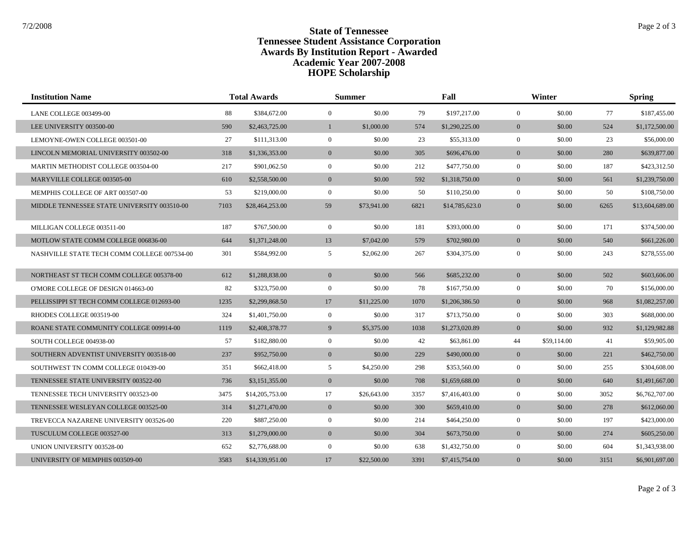## **State of Tennessee** State of Tennessee **Tennessee Student Assistance Corporation Awards By Institution Report - Awarded HOPE Scholarship Academic Year 2007-2008**

| <b>Institution Name</b>                     |      | <b>Total Awards</b> |                | <b>Summer</b> |      | Fall           |                | Winter      |      | <b>Spring</b>   |  |
|---------------------------------------------|------|---------------------|----------------|---------------|------|----------------|----------------|-------------|------|-----------------|--|
| LANE COLLEGE 003499-00                      | 88   | \$384,672.00        | $\mathbf{0}$   | \$0.00        | 79   | \$197,217.00   | $\mathbf{0}$   | \$0.00      | 77   | \$187,455.00    |  |
| LEE UNIVERSITY 003500-00                    | 590  | \$2,463,725.00      | 1              | \$1,000.00    | 574  | \$1,290,225.00 | $\overline{0}$ | \$0.00      | 524  | \$1,172,500.00  |  |
| LEMOYNE-OWEN COLLEGE 003501-00              | 27   | \$111,313.00        | $\mathbf{0}$   | \$0.00        | 23   | \$55,313.00    | $\overline{0}$ | \$0.00      | 23   | \$56,000.00     |  |
| LINCOLN MEMORIAL UNIVERSITY 003502-00       | 318  | \$1,336,353.00      | $\mathbf{0}$   | \$0.00        | 305  | \$696,476.00   | $\overline{0}$ | \$0.00      | 280  | \$639,877.00    |  |
| MARTIN METHODIST COLLEGE 003504-00          | 217  | \$901,062.50        | $\mathbf{0}$   | \$0.00        | 212  | \$477,750.00   | $\overline{0}$ | \$0.00      | 187  | \$423,312.50    |  |
| MARYVILLE COLLEGE 003505-00                 | 610  | \$2,558,500.00      | $\overline{0}$ | \$0.00        | 592  | \$1,318,750.00 | $\overline{0}$ | \$0.00      | 561  | \$1,239,750.00  |  |
| MEMPHIS COLLEGE OF ART 003507-00            | 53   | \$219,000.00        | $\mathbf{0}$   | \$0.00        | 50   | \$110,250.00   | $\overline{0}$ | \$0.00      | 50   | \$108,750.00    |  |
| MIDDLE TENNESSEE STATE UNIVERSITY 003510-00 | 7103 | \$28,464,253.00     | 59             | \$73,941.00   | 6821 | \$14,785,623.0 | $\overline{0}$ | \$0.00      | 6265 | \$13,604,689.00 |  |
| MILLIGAN COLLEGE 003511-00                  | 187  | \$767,500.00        | $\mathbf{0}$   | \$0.00        | 181  | \$393,000.00   | $\overline{0}$ | \$0.00      | 171  | \$374,500.00    |  |
| MOTLOW STATE COMM COLLEGE 006836-00         | 644  | \$1,371,248.00      | 13             | \$7,042.00    | 579  | \$702,980.00   | $\overline{0}$ | \$0.00      | 540  | \$661,226.00    |  |
| NASHVILLE STATE TECH COMM COLLEGE 007534-00 | 301  | \$584,992.00        | 5              | \$2,062.00    | 267  | \$304,375.00   | $\overline{0}$ | \$0.00      | 243  | \$278,555.00    |  |
| NORTHEAST ST TECH COMM COLLEGE 005378-00    | 612  | \$1,288,838.00      | $\mathbf{0}$   | \$0.00        | 566  | \$685,232.00   | $\overline{0}$ | \$0.00      | 502  | \$603,606.00    |  |
| O'MORE COLLEGE OF DESIGN 014663-00          | 82   | \$323,750.00        | $\mathbf{0}$   | \$0.00        | 78   | \$167,750.00   | $\overline{0}$ | \$0.00      | 70   | \$156,000.00    |  |
| PELLISSIPPI ST TECH COMM COLLEGE 012693-00  | 1235 | \$2,299,868.50      | 17             | \$11,225.00   | 1070 | \$1,206,386.50 | $\overline{0}$ | \$0.00      | 968  | \$1,082,257.00  |  |
| RHODES COLLEGE 003519-00                    | 324  | \$1,401,750.00      | $\mathbf{0}$   | \$0.00        | 317  | \$713,750.00   | $\overline{0}$ | \$0.00      | 303  | \$688,000.00    |  |
| ROANE STATE COMMUNITY COLLEGE 009914-00     | 1119 | \$2,408,378.77      | 9              | \$5,375.00    | 1038 | \$1,273,020.89 | $\overline{0}$ | \$0.00      | 932  | \$1,129,982.88  |  |
| SOUTH COLLEGE 004938-00                     | 57   | \$182,880.00        | $\mathbf{0}$   | \$0.00        | 42   | \$63,861.00    | 44             | \$59,114.00 | 41   | \$59,905.00     |  |
| SOUTHERN ADVENTIST UNIVERSITY 003518-00     | 237  | \$952,750.00        | $\overline{0}$ | \$0.00        | 229  | \$490,000.00   | $\overline{0}$ | \$0.00      | 221  | \$462,750.00    |  |
| SOUTHWEST TN COMM COLLEGE 010439-00         | 351  | \$662,418.00        | 5              | \$4,250.00    | 298  | \$353,560.00   | $\overline{0}$ | \$0.00      | 255  | \$304,608.00    |  |
| TENNESSEE STATE UNIVERSITY 003522-00        | 736  | \$3,151,355.00      | $\mathbf{0}$   | \$0.00        | 708  | \$1,659,688.00 | $\overline{0}$ | \$0.00      | 640  | \$1,491,667.00  |  |
| TENNESSEE TECH UNIVERSITY 003523-00         | 3475 | \$14,205,753.00     | 17             | \$26,643.00   | 3357 | \$7,416,403.00 | $\overline{0}$ | \$0.00      | 3052 | \$6,762,707.00  |  |
| TENNESSEE WESLEYAN COLLEGE 003525-00        | 314  | \$1,271,470.00      | $\mathbf{0}$   | \$0.00        | 300  | \$659,410.00   | $\overline{0}$ | \$0.00      | 278  | \$612,060.00    |  |
| TREVECCA NAZARENE UNIVERSITY 003526-00      | 220  | \$887,250.00        | $\mathbf{0}$   | \$0.00        | 214  | \$464,250.00   | $\overline{0}$ | \$0.00      | 197  | \$423,000.00    |  |
| TUSCULUM COLLEGE 003527-00                  | 313  | \$1,279,000.00      | $\mathbf{0}$   | \$0.00        | 304  | \$673,750.00   | $\overline{0}$ | \$0.00      | 274  | \$605,250.00    |  |
| UNION UNIVERSITY 003528-00                  | 652  | \$2,776,688.00      | $\overline{0}$ | \$0.00        | 638  | \$1,432,750.00 | $\overline{0}$ | \$0.00      | 604  | \$1,343,938.00  |  |
| UNIVERSITY OF MEMPHIS 003509-00             | 3583 | \$14,339,951.00     | 17             | \$22,500.00   | 3391 | \$7,415,754.00 | $\overline{0}$ | \$0.00      | 3151 | \$6,901,697.00  |  |

Page 2 of 3